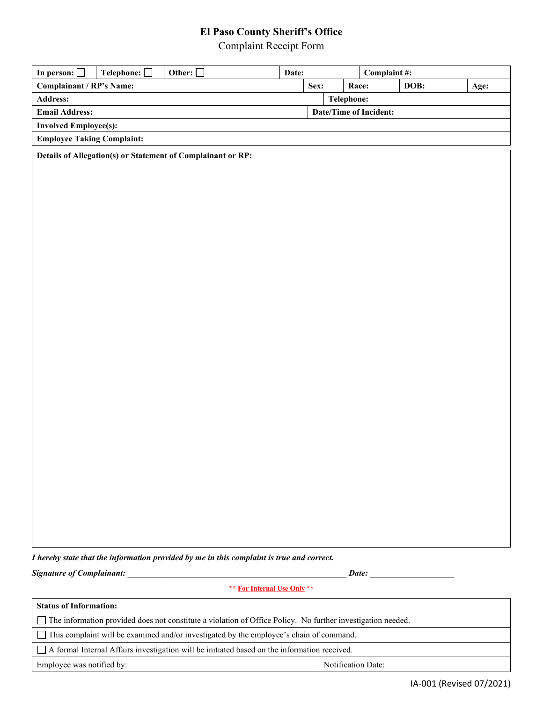## **El Paso County Sheriff's Office**

Complaint Receipt Form

| In person:                        | Telephone: | Other: $\Box$                                               | Date:                  |  |       | Complaint #: |      |  |
|-----------------------------------|------------|-------------------------------------------------------------|------------------------|--|-------|--------------|------|--|
| <b>Complainant / RP's Name:</b>   |            |                                                             | Sex:                   |  | Race: | DOB:         | Age: |  |
| <b>Address:</b>                   |            |                                                             | <b>Telephone:</b>      |  |       |              |      |  |
| <b>Email Address:</b>             |            |                                                             | Date/Time of Incident: |  |       |              |      |  |
| <b>Involved Employee(s):</b>      |            |                                                             |                        |  |       |              |      |  |
| <b>Employee Taking Complaint:</b> |            |                                                             |                        |  |       |              |      |  |
|                                   |            | Details of Allegation(s) or Statement of Complainant or RP: |                        |  |       |              |      |  |

*I hereby state that the information provided by me in this complaint is true and correct.*

*Signature of Complainant:* \_\_\_\_\_\_\_\_\_\_\_\_\_\_\_\_\_\_\_\_\_\_\_\_\_\_\_\_\_\_\_\_\_\_\_\_\_\_\_\_\_\_\_\_\_\_\_\_\_\_\_\_ *Date:* \_\_\_\_\_\_\_\_\_\_\_\_\_\_\_\_\_\_\_\_

**\*\* For Internal Use Only \*\***

| <b>Status of Information:</b>                                                                               |  |  |  |  |  |  |
|-------------------------------------------------------------------------------------------------------------|--|--|--|--|--|--|
| The information provided does not constitute a violation of Office Policy. No further investigation needed. |  |  |  |  |  |  |
| This complaint will be examined and/or investigated by the employee's chain of command.                     |  |  |  |  |  |  |
| A formal Internal Affairs investigation will be initiated based on the information received.                |  |  |  |  |  |  |
| Employee was notified by:<br>Notification Date:                                                             |  |  |  |  |  |  |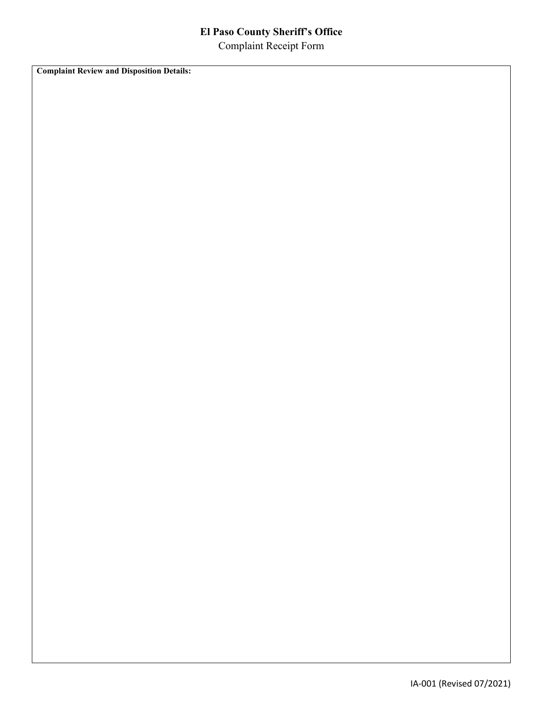## **El Paso County Sheriff's Office** Complaint Receipt Form

**Complaint Review and Disposition Details:**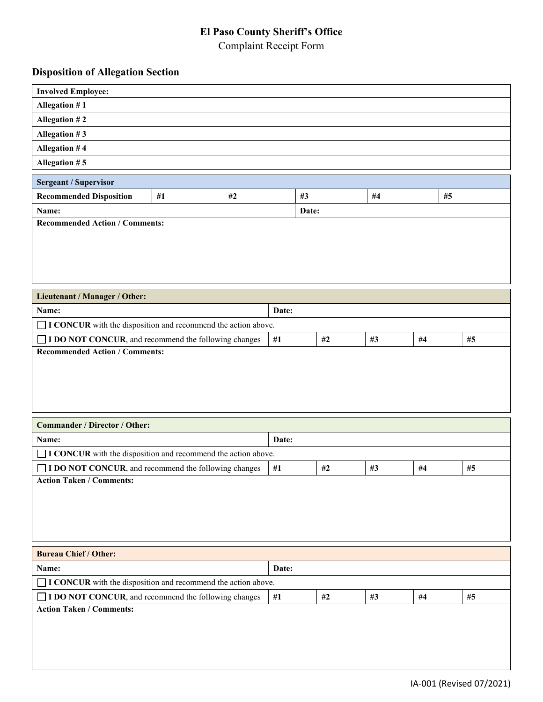# **El Paso County Sheriff's Office**

Complaint Receipt Form

### **Disposition of Allegation Section**

| <b>Involved Employee:</b>                                            |                                                                                       |  |       |       |       |    |    |    |  |
|----------------------------------------------------------------------|---------------------------------------------------------------------------------------|--|-------|-------|-------|----|----|----|--|
| Allegation #1                                                        |                                                                                       |  |       |       |       |    |    |    |  |
| Allegation #2                                                        |                                                                                       |  |       |       |       |    |    |    |  |
| Allegation #3                                                        |                                                                                       |  |       |       |       |    |    |    |  |
| <b>Allegation #4</b>                                                 |                                                                                       |  |       |       |       |    |    |    |  |
| Allegation #5                                                        |                                                                                       |  |       |       |       |    |    |    |  |
| <b>Sergeant / Supervisor</b>                                         |                                                                                       |  |       |       |       |    |    |    |  |
| <b>Recommended Disposition</b>                                       | #4<br>#1<br>#2<br>#3<br>#5                                                            |  |       |       |       |    |    |    |  |
| Name:                                                                |                                                                                       |  |       | Date: |       |    |    |    |  |
| <b>Recommended Action / Comments:</b>                                |                                                                                       |  |       |       |       |    |    |    |  |
|                                                                      |                                                                                       |  |       |       |       |    |    |    |  |
| Lieutenant / Manager / Other:                                        |                                                                                       |  |       |       |       |    |    |    |  |
| Name:                                                                | Date:                                                                                 |  |       |       |       |    |    |    |  |
| $\Box$ I CONCUR with the disposition and recommend the action above. |                                                                                       |  |       |       |       |    |    |    |  |
|                                                                      | I DO NOT CONCUR, and recommend the following changes<br>#2<br>#3<br>$\#1$<br>#4<br>#5 |  |       |       |       |    |    |    |  |
| <b>Commander / Director / Other:</b>                                 |                                                                                       |  |       |       |       |    |    |    |  |
| Name:                                                                |                                                                                       |  | Date: |       |       |    |    |    |  |
| I CONCUR with the disposition and recommend the action above.        |                                                                                       |  |       |       |       |    |    |    |  |
| I DO NOT CONCUR, and recommend the following changes                 |                                                                                       |  | $\#1$ |       | #2    | #3 | #4 | #5 |  |
| <b>Action Taken / Comments:</b>                                      |                                                                                       |  |       |       |       |    |    |    |  |
| <b>Bureau Chief / Other:</b>                                         |                                                                                       |  |       |       |       |    |    |    |  |
| Date:<br>Name:                                                       |                                                                                       |  |       |       |       |    |    |    |  |
| $\Box$ I CONCUR with the disposition and recommend the action above. |                                                                                       |  |       |       |       |    |    |    |  |
| I DO NOT CONCUR, and recommend the following changes                 |                                                                                       |  | #1    |       | $\#2$ | #3 | #4 | #5 |  |
| <b>Action Taken / Comments:</b>                                      |                                                                                       |  |       |       |       |    |    |    |  |